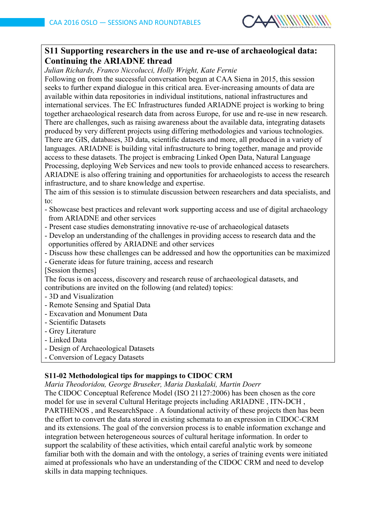

# **S11 Supporting researchers in the use and re-use of archaeological data: Continuing the ARIADNE thread**

*Julian Richards, Franco Niccolucci, Holly Wright, Kate Fernie*

Following on from the successful conversation begun at CAA Siena in 2015, this session seeks to further expand dialogue in this critical area. Ever-increasing amounts of data are available within data repositories in individual institutions, national infrastructures and international services. The EC Infrastructures funded ARIADNE project is working to bring together archaeological research data from across Europe, for use and re-use in new research. There are challenges, such as raising awareness about the available data, integrating datasets produced by very different projects using differing methodologies and various technologies. There are GIS, databases, 3D data, scientific datasets and more, all produced in a variety of languages. ARIADNE is building vital infrastructure to bring together, manage and provide access to these datasets. The project is embracing Linked Open Data, Natural Language Processing, deploying Web Services and new tools to provide enhanced access to researchers. ARIADNE is also offering training and opportunities for archaeologists to access the research infrastructure, and to share knowledge and expertise.

The aim of this session is to stimulate discussion between researchers and data specialists, and to:

- Showcase best practices and relevant work supporting access and use of digital archaeology from ARIADNE and other services
- Present case studies demonstrating innovative re-use of archaeological datasets
- Develop an understanding of the challenges in providing access to research data and the opportunities offered by ARIADNE and other services
- Discuss how these challenges can be addressed and how the opportunities can be maximized
- Generate ideas for future training, access and research
- [Session themes]

The focus is on access, discovery and research reuse of archaeological datasets, and contributions are invited on the following (and related) topics:

- 3D and Visualization
- Remote Sensing and Spatial Data
- Excavation and Monument Data
- Scientific Datasets
- Grey Literature
- Linked Data
- Design of Archaeological Datasets
- Conversion of Legacy Datasets

## **S11-02 Methodological tips for mappings to CIDOC CRM**

*Maria Theodoridou, George Bruseker, Maria Daskalaki, Martin Doerr*

The CIDOC Conceptual Reference Model (ISO 21127:2006) has been chosen as the core model for use in several Cultural Heritage projects including ARIADNE , ITN-DCH , PARTHENOS , and ResearchSpace . A foundational activity of these projects then has been the effort to convert the data stored in existing schemata to an expression in CIDOC-CRM and its extensions. The goal of the conversion process is to enable information exchange and integration between heterogeneous sources of cultural heritage information. In order to support the scalability of these activities, which entail careful analytic work by someone familiar both with the domain and with the ontology, a series of training events were initiated aimed at professionals who have an understanding of the CIDOC CRM and need to develop skills in data mapping techniques.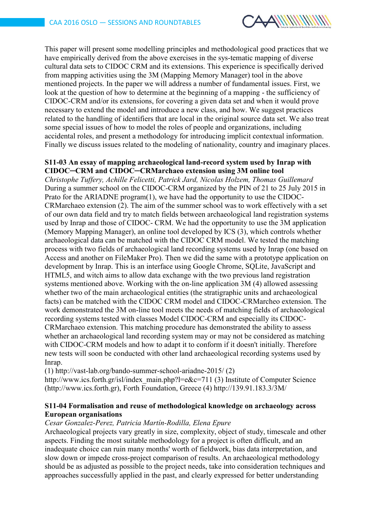

This paper will present some modelling principles and methodological good practices that we have empirically derived from the above exercises in the sys-tematic mapping of diverse cultural data sets to CIDOC CRM and its extensions. This experience is specifically derived from mapping activities using the 3M (Mapping Memory Manager) tool in the above mentioned projects. In the paper we will address a number of fundamental issues. First, we look at the question of how to determine at the beginning of a mapping - the sufficiency of CIDOC-CRM and/or its extensions, for covering a given data set and when it would prove necessary to extend the model and introduce a new class, and how. We suggest practices related to the handling of identifiers that are local in the original source data set. We also treat some special issues of how to model the roles of people and organizations, including accidental roles, and present a methodology for introducing implicit contextual information. Finally we discuss issues related to the modeling of nationality, country and imaginary places.

## **S11-03 An essay of mapping archaeological land-record system used by Inrap with CIDOC─CRM and CIDOC─CRMarchaeo extension using 3M online tool**

*Christophe Tuffery, Achille Felicetti, Patrick Jard, Nicolas Holzem, Thomas Guillemard* During a summer school on the CIDOC-CRM organized by the PIN of 21 to 25 July 2015 in Prato for the ARIADNE program(1), we have had the opportunity to use the CIDOC-CRMarchaeo extension (2). The aim of the summer school was to work effectively with a set of our own data field and try to match fields between archaeological land registration systems used by Inrap and those of CIDOC- CRM. We had the opportunity to use the 3M application (Memory Mapping Manager), an online tool developed by ICS (3), which controls whether archaeological data can be matched with the CIDOC CRM model. We tested the matching process with two fields of archaeological land recording systems used by Inrap (one based on Access and another on FileMaker Pro). Then we did the same with a prototype application on development by Inrap. This is an interface using Google Chrome, SQLite, JavaScript and HTML5, and witch aims to allow data exchange with the two previous land registration systems mentioned above. Working with the on-line application 3M (4) allowed assessing whether two of the main archaeological entities (the stratigraphic units and archaeological facts) can be matched with the CIDOC CRM model and CIDOC-CRMarcheo extension. The work demonstrated the 3M on-line tool meets the needs of matching fields of archaeological recording systems tested with classes Model CIDOC-CRM and especially its CIDOC-CRMarchaeo extension. This matching procedure has demonstrated the ability to assess whether an archaeological land recording system may or may not be considered as matching with CIDOC-CRM models and how to adapt it to conform if it doesn't initially. Therefore new tests will soon be conducted with other land archaeological recording systems used by Inrap.

(1) http://vast-lab.org/bando-summer-school-ariadne-2015/ (2)

http://www.ics.forth.gr/isl/index\_main.php?l=e&c=711 (3) Institute of Computer Science (http://www.ics.forth.gr), Forth Foundation, Greece (4) http://139.91.183.3/3M/

## **S11-04 Formalisation and reuse of methodological knowledge on archaeology across European organisations**

#### *Cesar Gonzalez-Perez, Patricia Martín-Rodilla, Elena Epure*

Archaeological projects vary greatly in size, complexity, object of study, timescale and other aspects. Finding the most suitable methodology for a project is often difficult, and an inadequate choice can ruin many months' worth of fieldwork, bias data interpretation, and slow down or impede cross-project comparison of results. An archaeological methodology should be as adjusted as possible to the project needs, take into consideration techniques and approaches successfully applied in the past, and clearly expressed for better understanding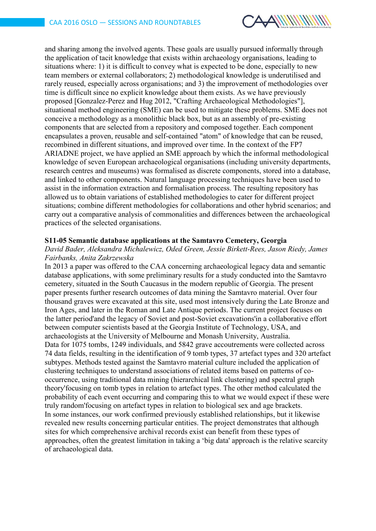

and sharing among the involved agents. These goals are usually pursued informally through the application of tacit knowledge that exists within archaeology organisations, leading to situations where: 1) it is difficult to convey what is expected to be done, especially to new team members or external collaborators; 2) methodological knowledge is underutilised and rarely reused, especially across organisations; and 3) the improvement of methodologies over time is difficult since no explicit knowledge about them exists. As we have previously proposed [Gonzalez-Perez and Hug 2012, "Crafting Archaeological Methodologies"], situational method engineering (SME) can be used to mitigate these problems. SME does not conceive a methodology as a monolithic black box, but as an assembly of pre-existing components that are selected from a repository and composed together. Each component encapsulates a proven, reusable and self-contained "atom" of knowledge that can be reused, recombined in different situations, and improved over time. In the context of the FP7 ARIADNE project, we have applied an SME approach by which the informal methodological knowledge of seven European archaeological organisations (including university departments, research centres and museums) was formalised as discrete components, stored into a database, and linked to other components. Natural language processing techniques have been used to assist in the information extraction and formalisation process. The resulting repository has allowed us to obtain variations of established methodologies to cater for different project situations; combine different methodologies for collaborations and other hybrid scenarios; and carry out a comparative analysis of commonalities and differences between the archaeological practices of the selected organisations.

#### **S11-05 Semantic database applications at the Samtavro Cemetery, Georgia**

## *David Bader, Aleksandra Michalewicz, Oded Green, Jessie Birkett-Rees, Jason Riedy, James Fairbanks, Anita Zakrzewska*

In 2013 a paper was offered to the CAA concerning archaeological legacy data and semantic database applications, with some preliminary results for a study conducted into the Samtavro cemetery, situated in the South Caucasus in the modern republic of Georgia. The present paper presents further research outcomes of data mining the Samtavro material. Over four thousand graves were excavated at this site, used most intensively during the Late Bronze and Iron Ages, and later in the Roman and Late Antique periods. The current project focuses on the latter period'and the legacy of Soviet and post-Soviet excavations'in a collaborative effort between computer scientists based at the Georgia Institute of Technology, USA, and archaeologists at the University of Melbourne and Monash University, Australia. Data for 1075 tombs, 1249 individuals, and 5842 grave accoutrements were collected across 74 data fields, resulting in the identification of 9 tomb types, 37 artefact types and 320 artefact subtypes. Methods tested against the Samtavro material culture included the application of clustering techniques to understand associations of related items based on patterns of cooccurrence, using traditional data mining (hierarchical link clustering) and spectral graph theory'focusing on tomb types in relation to artefact types. The other method calculated the probability of each event occurring and comparing this to what we would expect if these were truly random'focusing on artefact types in relation to biological sex and age brackets. In some instances, our work confirmed previously established relationships, but it likewise revealed new results concerning particular entities. The project demonstrates that although sites for which comprehensive archival records exist can benefit from these types of approaches, often the greatest limitation in taking a 'big data' approach is the relative scarcity of archaeological data.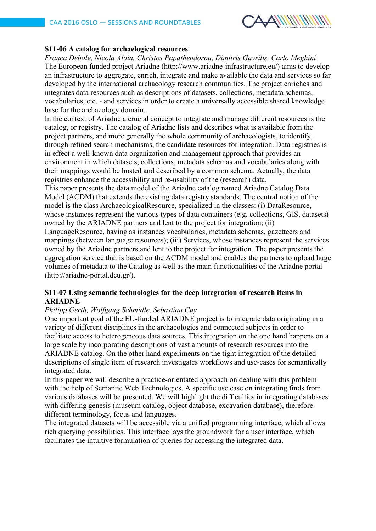

## **S11-06 A catalog for archaelogical resources**

*Franca Debole, Nicola Aloia, Christos Papatheodorou, Dimitris Gavrilis, Carlo Meghini* The European funded project Ariadne (http://www.ariadne-infrastructure.eu/) aims to develop an infrastructure to aggregate, enrich, integrate and make available the data and services so far developed by the international archaeology research communities. The project enriches and integrates data resources such as descriptions of datasets, collections, metadata schemas, vocabularies, etc. - and services in order to create a universally accessible shared knowledge base for the archaeology domain.

In the context of Ariadne a crucial concept to integrate and manage different resources is the catalog, or registry. The catalog of Ariadne lists and describes what is available from the project partners, and more generally the whole community of archaeologists, to identify, through refined search mechanisms, the candidate resources for integration. Data registries is in effect a well-known data organization and management approach that provides an environment in which datasets, collections, metadata schemas and vocabularies along with their mappings would be hosted and described by a common schema. Actually, the data registries enhance the accessibility and re-usability of the (research) data.

This paper presents the data model of the Ariadne catalog named Ariadne Catalog Data Model (ACDM) that extends the existing data registry standards. The central notion of the model is the class ArchaeologicalResource, specialized in the classes: (i) DataResource, whose instances represent the various types of data containers (e.g. collections, GIS, datasets) owned by the ARIADNE partners and lent to the project for integration; (ii) LanguageResource, having as instances vocabularies, metadata schemas, gazetteers and mappings (between language resources); (iii) Services, whose instances represent the services owned by the Ariadne partners and lent to the project for integration. The paper presents the

aggregation service that is based on the ACDM model and enables the partners to upload huge volumes of metadata to the Catalog as well as the main functionalities of the Ariadne portal (http://ariadne-portal.dcu.gr/).

## **S11-07 Using semantic technologies for the deep integration of research items in ARIADNE**

## *Philipp Gerth, Wolfgang Schmidle, Sebastian Cuy*

One important goal of the EU-funded ARIADNE project is to integrate data originating in a variety of different disciplines in the archaeologies and connected subjects in order to facilitate access to heterogeneous data sources. This integration on the one hand happens on a large scale by incorporating descriptions of vast amounts of research resources into the ARIADNE catalog. On the other hand experiments on the tight integration of the detailed descriptions of single item of research investigates workflows and use-cases for semantically integrated data.

In this paper we will describe a practice-orientated approach on dealing with this problem with the help of Semantic Web Technologies. A specific use case on integrating finds from various databases will be presented. We will highlight the difficulties in integrating databases with differing genesis (museum catalog, object database, excavation database), therefore different terminology, focus and languages.

The integrated datasets will be accessible via a unified programming interface, which allows rich querying possibilities. This interface lays the groundwork for a user interface, which facilitates the intuitive formulation of queries for accessing the integrated data.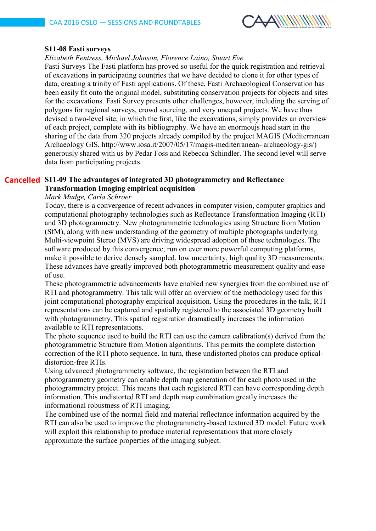

#### **S11-08 Fasti surveys**

#### *Elizabeth Fentress, Michael Johnson, Florence Laino, Stuart Eve*

Fasti Surveys The Fasti platform has proved so useful for the quick registration and retrieval of excavations in participating countries that we have decided to clone it for other types of data, creating a trinity of Fasti applications. Of these, Fasti Archaeological Conservation has been easily fit onto the original model, substituting conservation projects for objects and sites for the excavations. Fasti Survey presents other challenges, however, including the serving of polygons for regional surveys, crowd sourcing, and very unequal projects. We have thus devised a two-level site, in which the first, like the excavations, simply provides an overview of each project, complete with its bibliography. We have an enormoujs head start in the sharing of the data from 320 projects already compiled by the project MAGIS (Mediterranean Archaeology GIS, http://www.iosa.it/2007/05/17/magis-mediterranean- archaeology-gis/) generously shared with us by Pedar Foss and Rebecca Schindler. The second level will serve data from participating projects.

## **S11-09 The advantages of integrated 3D photogrammetry and Reflectance CancelledTransformation Imaging empirical acquisition**

## *Mark Mudge, Carla Schroer*

Today, there is a convergence of recent advances in computer vision, computer graphics and computational photography technologies such as Reflectance Transformation Imaging (RTI) and 3D photogrammetry. New photogrammetric technologies using Structure from Motion (SfM), along with new understanding of the geometry of multiple photographs underlying Multi-viewpoint Stereo (MVS) are driving widespread adoption of these technologies. The software produced by this convergence, run on ever more powerful computing platforms, make it possible to derive densely sampled, low uncertainty, high quality 3D measurements. These advances have greatly improved both photogrammetric measurement quality and ease of use.

These photogrammetric advancements have enabled new synergies from the combined use of RTI and photogrammetry. This talk will offer an overview of the methodology used for this joint computational photography empirical acquisition. Using the procedures in the talk, RTI representations can be captured and spatially registered to the associated 3D geometry built with photogrammetry. This spatial registration dramatically increases the information available to RTI representations.

The photo sequence used to build the RTI can use the camera calibration(s) derived from the photogrammetric Structure from Motion algorithms. This permits the complete distortion correction of the RTI photo sequence. In turn, these undistorted photos can produce opticaldistortion-free RTIs.

Using advanced photogrammetry software, the registration between the RTI and photogrammetry geometry can enable depth map generation of for each photo used in the photogrammetry project. This means that each registered RTI can have corresponding depth information. This undistorted RTI and depth map combination greatly increases the informational robustness of RTI imaging.

The combined use of the normal field and material reflectance information acquired by the RTI can also be used to improve the photogrammetry-based textured 3D model. Future work will exploit this relationship to produce material representations that more closely approximate the surface properties of the imaging subject.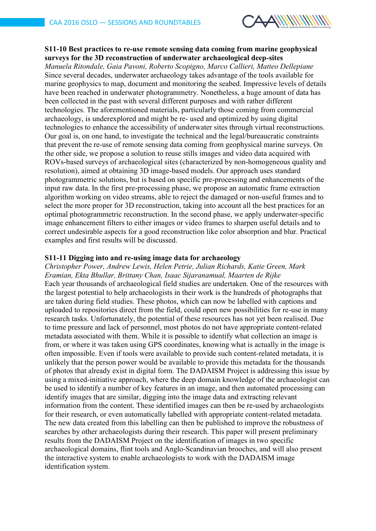

## **S11-10 Best practices to re-use remote sensing data coming from marine geophysical surveys for the 3D reconstruction of underwater archaeological deep-sites**

*Manuela Ritondale, Gaia Pavoni, Roberto Scopigno, Marco Callieri, Matteo Dellepiane* Since several decades, underwater archaeology takes advantage of the tools available for marine geophysics to map, document and monitoring the seabed. Impressive levels of details have been reached in underwater photogrammetry. Nonetheless, a huge amount of data has been collected in the past with several different purposes and with rather different technologies. The aforementioned materials, particularly those coming from commercial archaeology, is underexplored and might be re- used and optimized by using digital technologies to enhance the accessibility of underwater sites through virtual reconstructions. Our goal is, on one hand, to investigate the technical and the legal/bureaucratic constraints that prevent the re-use of remote sensing data coming from geophysical marine surveys. On the other side, we propose a solution to reuse stills images and video data acquired with ROVs-based surveys of archaeological sites (characterized by non-homogeneous quality and resolution), aimed at obtaining 3D image-based models. Our approach uses standard photogrammetric solutions, but is based on specific pre-processing and enhancements of the input raw data. In the first pre-processing phase, we propose an automatic frame extraction algorithm working on video streams, able to reject the damaged or non-useful frames and to select the more proper for 3D reconstruction, taking into account all the best practices for an optimal photogrammetric reconstruction. In the second phase, we apply underwater-specific image enhancement filters to either images or video frames to sharpen useful details and to correct undesirable aspects for a good reconstruction like color absorption and blur. Practical examples and first results will be discussed.

#### **S11-11 Digging into and re-using image data for archaeology**

*Christopher Power, Andrew Lewis, Helen Petrie, Julian Richards, Katie Green, Mark Eramian, Ekta Bhullar, Brittany Chan, Isaac Sijaranamual, Maarten de Rijke* Each year thousands of archaeological field studies are undertaken. One of the resources with the largest potential to help archaeologists in their work is the hundreds of photographs that are taken during field studies. These photos, which can now be labelled with captions and uploaded to repositories direct from the field, could open new possibilities for re-use in many research tasks. Unfortunately, the potential of these resources has not yet been realised. Due to time pressure and lack of personnel, most photos do not have appropriate content-related metadata associated with them. While it is possible to identify what collection an image is from, or where it was taken using GPS coordinates, knowing what is actually in the image is often impossible. Even if tools were available to provide such content-related metadata, it is unlikely that the person power would be available to provide this metadata for the thousands of photos that already exist in digital form. The DADAISM Project is addressing this issue by using a mixed-initiative approach, where the deep domain knowledge of the archaeologist can be used to identify a number of key features in an image, and then automated processing can identify images that are similar, digging into the image data and extracting relevant information from the content. These identified images can then be re-used by archaeologists for their research, or even automatically labelled with appropriate content-related metadata. The new data created from this labelling can then be published to improve the robustness of searches by other archaeologists during their research. This paper will present preliminary results from the DADAISM Project on the identification of images in two specific archaeological domains, flint tools and Anglo-Scandinavian brooches, and will also present the interactive system to enable archaeologists to work with the DADAISM image identification system.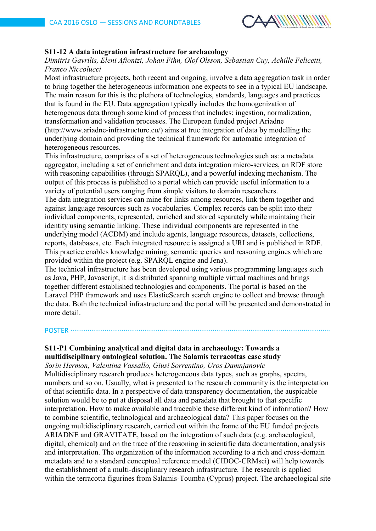

## **S11-12 A data integration infrastructure for archaeology**

*Dimitris Gavrilis, Eleni Afiontzi, Johan Fihn, Olof Olsson, Sebastian Cuy, Achille Felicetti, Franco Niccolucci*

Most infrastructure projects, both recent and ongoing, involve a data aggregation task in order to bring together the heterogeneous information one expects to see in a typical EU landscape. The main reason for this is the plethora of technologies, standards, languages and practices that is found in the EU. Data aggregation typically includes the homogenization of heterogenous data through some kind of process that includes: ingestion, normalization, transformation and validation processes. The European funded project Ariadne (http://www.ariadne-infrastructure.eu/) aims at true integration of data by modelling the underlying domain and provding the technical framework for automatic integration of heterogeneous resources.

This infrastructure, comprises of a set of heterogeneous technologies such as: a metadata aggregator, including a set of enrichment and data integration micro-services, an RDF store with reasoning capabilities (through SPARQL), and a powerful indexing mechanism. The output of this process is published to a portal which can provide useful information to a variety of potential users ranging from simple visitors to domain researchers.

The data integration services can mine for links among resources, link them together and against language resources such as vocabularies. Complex records can be split into their individual components, represented, enriched and stored separately while maintaing their identity using semantic linking. These individual components are represented in the underlying model (ACDM) and include agents, language resources, datasets, collections, reports, databases, etc. Each integrated resource is assigned a URI and is published in RDF. This practice enables knowledge mining, semantic queries and reasoning engines which are provided within the project (e.g. SPARQL engine and Jena).

The technical infrastructure has been developed using various programming languages such as Java, PHP, Javascript, it is distributed spanning multiple virtual machines and brings together different established technologies and components. The portal is based on the Laravel PHP framework and uses ElasticSearch search engine to collect and browse through the data. Both the technical infrastructure and the portal will be presented and demonstrated in more detail.

# POSTER ∙∙∙∙∙∙∙∙∙∙∙∙∙∙∙∙∙∙∙∙∙∙∙∙∙∙∙∙∙∙∙∙∙∙∙∙∙∙∙∙∙∙∙∙∙∙∙∙∙∙∙∙∙∙∙∙∙∙∙∙∙∙∙∙∙∙∙∙∙∙∙∙∙∙∙∙∙∙∙∙∙∙∙∙∙∙∙∙∙∙∙∙∙∙∙∙∙∙∙∙∙∙∙∙∙∙∙∙∙∙∙∙∙∙∙∙∙∙∙∙∙∙∙∙∙∙∙∙∙∙∙∙∙∙∙∙∙

## **S11-P1 Combining analytical and digital data in archaeology: Towards a multidisciplinary ontological solution. The Salamis terracottas case study**

*Sorin Hermon, Valentina Vassallo, Giusi Sorrentino, Uros Damnjanovic* Multidisciplinary research produces heterogeneous data types, such as graphs, spectra, numbers and so on. Usually, what is presented to the research community is the interpretation of that scientific data. In a perspective of data transparency documentation, the auspicable solution would be to put at disposal all data and paradata that brought to that specific interpretation. How to make available and traceable these different kind of information? How to combine scientific, technological and archaeological data? This paper focuses on the ongoing multidisciplinary research, carried out within the frame of the EU funded projects ARIADNE and GRAVITATE, based on the integration of such data (e.g. archaeological, digital, chemical) and on the trace of the reasoning in scientific data documentation, analysis and interpretation. The organization of the information according to a rich and cross-domain metadata and to a standard conceptual reference model (CIDOC-CRMsci) will help towards the establishment of a multi-disciplinary research infrastructure. The research is applied within the terracotta figurines from Salamis-Toumba (Cyprus) project. The archaeological site